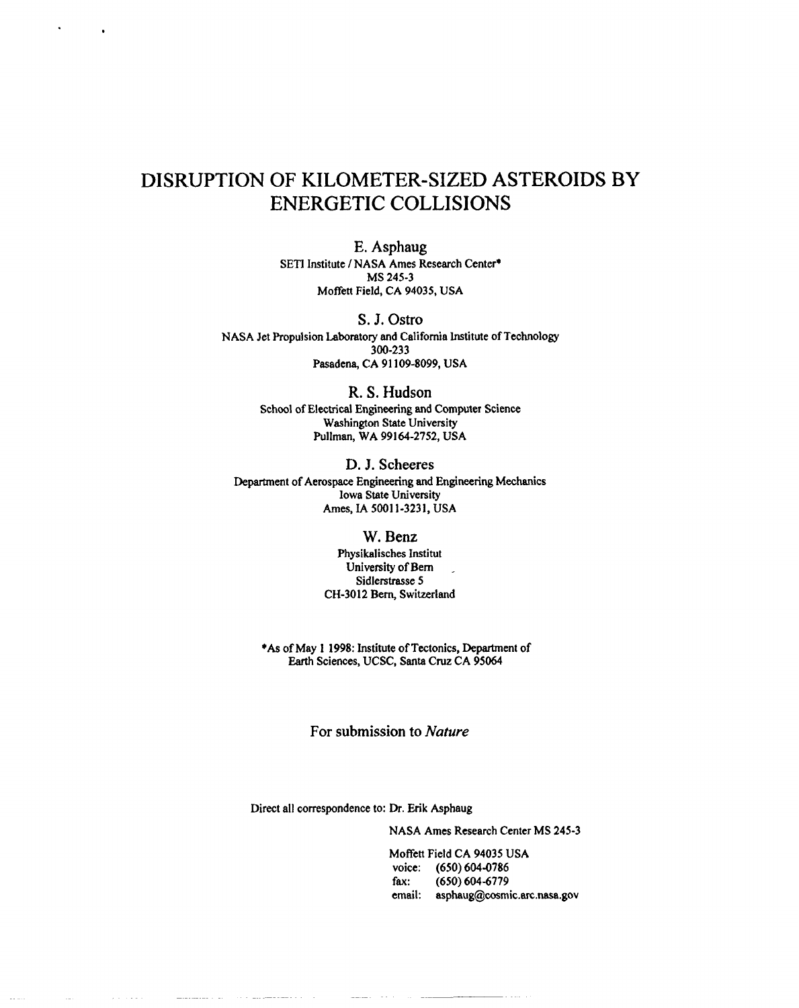## DISRUPTION OF KILOMETER-SIZED ASTEROIDS BY ENERGETIC COLLISIONS

.

,

E, Asphaug SETI Institute / NASA Ames Research Center\* MS245-3 Moffett Field, CA 94035, USA

S. J. Ostro NASA Jet Propulsion Laboratory and California Institute of Technology 300-233 Pasadena, CA 91109-8099, USA

> R. S. Hudson School of Electrical Engineering and Computer Science Washington State University Pullman, WA 99164-2752, USA

D. J. Scheeres Department of Aerospace Engineering and Engineering Mechanics Iowa State University Ames, IA 50011-3231, USA

## W. Benz

Physikalisches Institut University of Bern ... Sidlerstrasse 5 CH-3012 Bern, Switzerland

\*As of May 1 1998: Institute of Tectonics, Department of Earth Sciences, UCSC, Santa Cruz CA 95064

For submission to *Nature*

 $\sim$   $\sim$ 

Direct all correspondence to: Dr. Erik Asphaug

NASA Ames Research Center MS 245-3

Moffett Field CA 94035 USA voice: (650) 604-0786 fax: (650)604-6779 email: asphaug@cosmic.arc.nasa.gov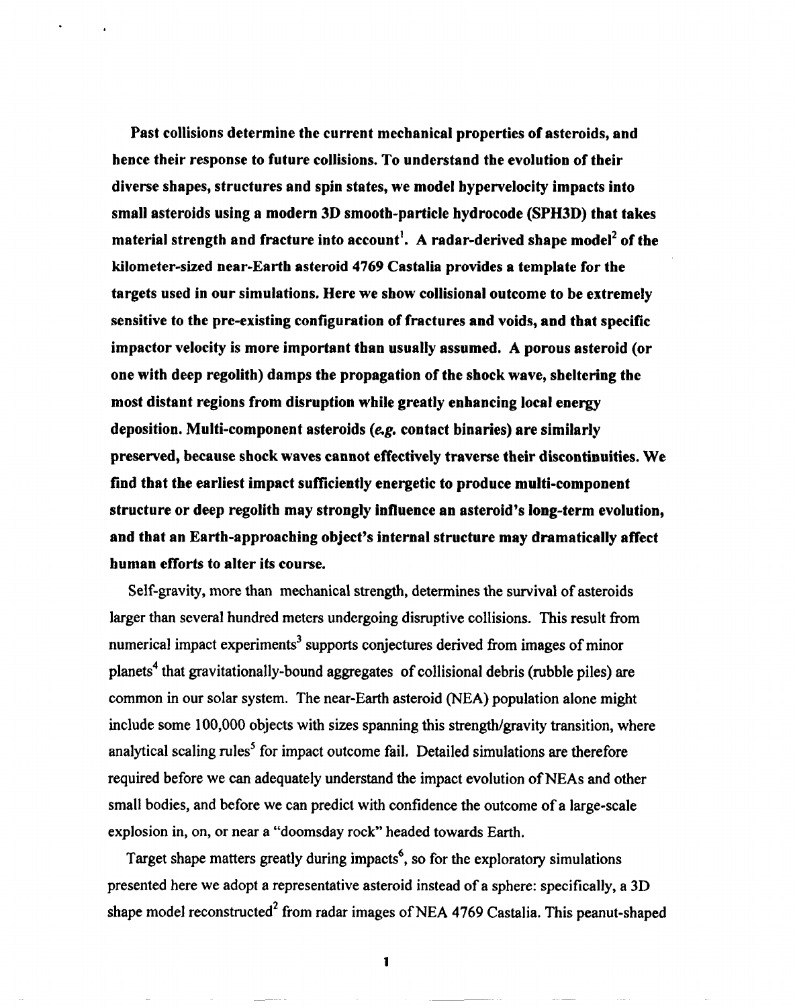**Past collisions determine the current mechanical properties of asteroids, and hence their response to future collisions. To understand the evolution of their diverse shapes, structures and spin states, we model bypervelocity impacts into small asteroids using a modern 3D smooth-particle hydrocode (SPH3D) that takes material strength and fracture into account]. A radar-derived shape mode12 of the kilometer-sized near-Earth asteroid 4769 Castalia provides a template for the targets used in our simulations. Here we show collisional outcome to be extremely sensitive to the pre-existing configuration of fractures and voids, and that specific impactor velocity is more important than usually assumed. A porous asteroid (or one with deep regolith) damps the propagation of the shockwave, sheltering the most distant regions from disruption while greatly enhancing local energy deposition. Multi-component asteroids (&g. contact binaries) are similarly preserved, because shock waves cannot effectively traverse their discontinuities. We find that the earliest impact sufficiently energetic to produce multi-component structure or deep regolith may strongly influence an asteroid's long-term evolution, and that an Earth-approaching object's internal structure may dramatically affect human efforts to alter its course.**

.

Self-gravity, more than mechanical strength, determines the survival of asteroids larger than several hundred meters undergoing disruptive collisions. This result from numerical impact experiments<sup>3</sup> supports conjectures derived from images of minor planets<sup>4</sup> that gravitationally-bound aggregates of collisional debris (rubble piles) are common in our solar system. The near-Earth asteroid (NEA) population alone might include some 100,000 objects with sizes spanning this strength/gravity transition, where analytical scaling rules<sup>5</sup> for impact outcome fail. Detailed simulations are therefore required before we can adequately understand the impact evolution of NEAs and other small bodies, and before we can predict with confidence the outcome of a large-scale explosion in, on, or near a "doomsday rock" headed towards Earth.

Target shape matters greatly during impacts<sup>6</sup>, so for the exploratory simulations presented here we adopt a representative asteroid instead of a sphere: specifically, a 3D shape model reconstructed<sup>2</sup> from radar images of NEA 4769 Castalia. This peanut-shaped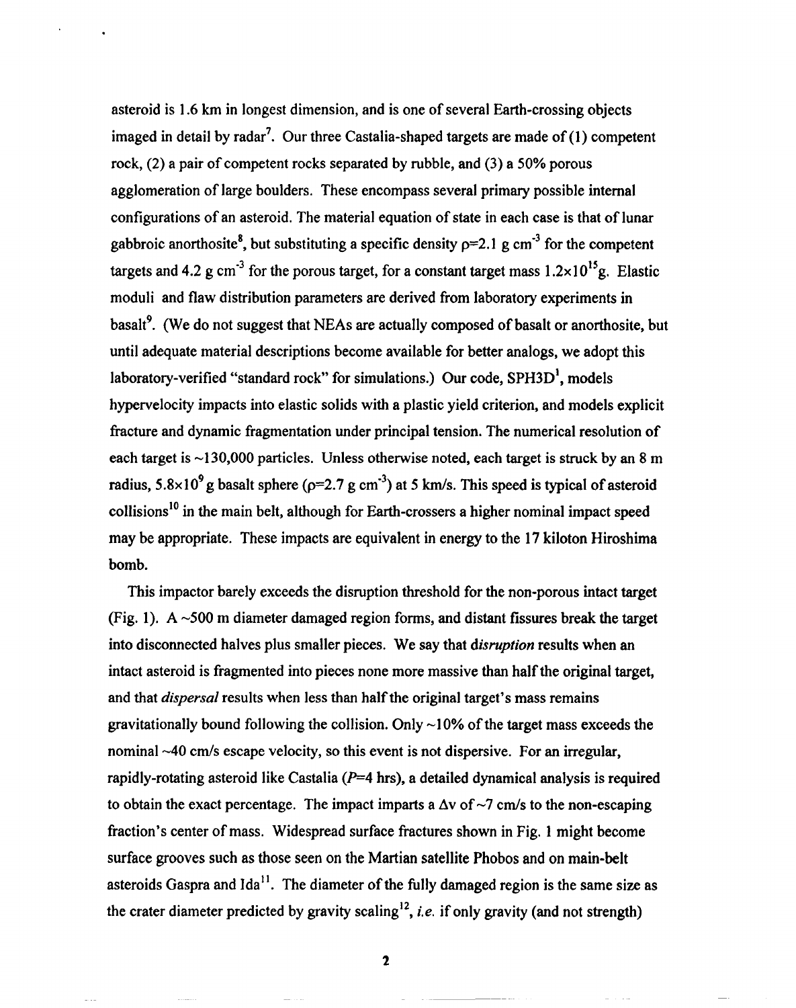asteroid is 1.6 km in longest dimension, and is one of several Earth-crossing objects imaged in detail by radar<sup>7</sup>. Our three Castalia-shaped targets are made of  $(1)$  competent rock,  $(2)$  a pair of competent rocks separated by rubble, and  $(3)$  a 50% porous agglomeration of large boulders. These encompass several primary possible internal configurations of an asteroid. The material equation of state in each case is that of lunar gabbroic anorthosite<sup>8</sup>, but substituting a specific density  $p=2.1$  g cm<sup>-3</sup> for the competent targets and  $4.2$  g cm<sup>-3</sup> for the porous target, for a constant target mass  $1.2 \times 10^{15}$ g. Elastic moduli and flaw distribution parameters are derived from laboratory experiments in basalt<sup>9</sup>. (We do not suggest that NEAs are actually composed of basalt or anorthosite, but until adequate material descriptions become available for better analogs, we adopt this laboratory-verified "standard rock" for simulations.) Our code,  $SPH3D<sup>1</sup>$ , models hypervelocity impacts into elastic solids with a plastic yield criterion, and models explicit fracture and dynamic fragmentation under principal tension. The numerical resolution of each target is  $\sim$ 130,000 particles. Unless otherwise noted, each target is struck by an 8 m radius,  $5.8 \times 10^{9}$  g basalt sphere ( $p=2.7$  g cm<sup>-3</sup>) at 5 km/s. This speed is typical of asteroid  $collisions<sup>10</sup>$  in the main belt, although for Earth-crossers a higher nominal impact speed may be appropriate. These impacts are equivalent in energy to the 17 kiloton Hiroshima bomb.

This impactor barely exceeds the disruption threshold for the non-porous intact target (Fig. 1). A  $\sim$ 500 m diameter damaged region forms, and distant fissures break the target into disconnected halves plus smaller pieces. We say that *disruption* results when an intact asteroid is fragmented into pieces none more massive than half the original target, and that *dispersal* results when less than half the original target's mass remains gravitationally bound following the collision. Only  $\sim$ 10% of the target mass exceeds the nominal  $\sim$ 40 cm/s escape velocity, so this event is not dispersive. For an irregular, rapidly-rotating asteroid like Castalia ( $P=4$  hrs), a detailed dynamical analysis is required to obtain the exact percentage. The impact imparts a  $\Delta v$  of  $\sim$ 7 cm/s to the non-escaping fraction's center of mass. Widespread surface fractures shown in Fig. 1 might become surface grooves such as those seen on the Martian satellite Phobos and on main-belt asteroids Gaspra and  $Ida^{11}$ . The diameter of the fully damaged region is the same size as the crater diameter predicted by gravity scaling<sup>12</sup>, *i.e.* if only gravity (and not strength)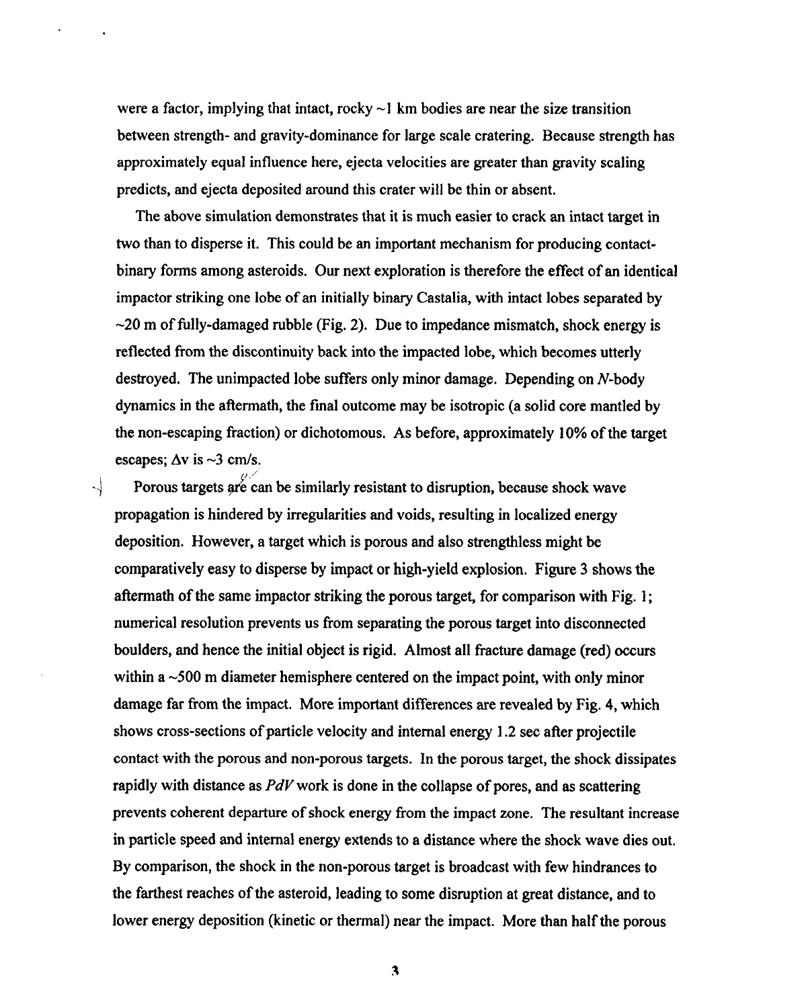were a factor, implying that intact, rocky  $\sim$ 1 km bodies are near the size transition between strength- and gravity-dominance for large scale cratering. Because strength has approximately equal influence here, ejects velocities are greater than gravity scaling predicts, and ejects deposited around this crater will be thin or absent.

The above simulation demonstrates that it is much easier to crack an intact target in two than to disperse it. This could be an important mechanism for producing contactbinary forms among asteroids. Our next exploration is therefore the effect of an identical impactor striking one lobe of an initially binary Castalia, with intact lobes separated by  $\sim$ 20 m of fully-damaged rubble (Fig. 2). Due to impedance mismatch, shock energy is reflected from the discontinuity back into the impacted lobe, which becomes utterly destroyed, The unimpacted lobe suffers only minor damage. Depending on N-body dynamics in the aftermath, the final outcome maybe isotropic (a solid core mantled by the non-escaping fraction) or dichotomous. As before, approximately 10% of the target escapes;  $\Delta v$  is  $\sim$ 3 cm/s.

 $\frac{1}{\sqrt{2}}$  Porous targets of each beginning resistant to disruption, because shock wave propagation is hindered by irregularities and voids, resulting in localized energy deposition. However, a target which is porous and also strengthless might be comparatively easy to disperse by impact or high-yield explosion, Figure 3 shows the after mathematic striking target striking the porous target  $\frac{1}{2}$ numerical resolution prevents us from separating the porous target into disconnected numerical resolution prevents us from separating the porous target into disconnected<br>boulders, and hence the initial object is rigid. Almost all fracture damage (red) occurs within a  $\sim$  500 m diameter hemisphere centered on the impact point, with only minor damage far from the impact. More important differences are revealed by  $\mathcal{A} = \mathcal{A} + \mathcal{A} + \mathcal{A}$ shows cross-sections of particle velocity and internal energy 1.2 sec after projectile contact with the porous and non-porous targets. In the porous target, the shock dissipates rapidly with distance as PcWwork is done in the collapse of pores, and as scattering prevents coherent departure of shock energy from the impact  $\frac{1}{2}$  from the impact  $\frac{1}{2}$ prevents coherent departure of shock energy from the impact zone. The resultant increase<br>in particle speed and internal energy extends to a distance where the shock wave dies out. By comparison, the shock in the non-porous target is broadcast with few hindrances to the ftiest reaches of **the**asteroid, leading to some disruption at great distance, and to lower energy deposition (kinetic or thermal) near the impact. More than half the porous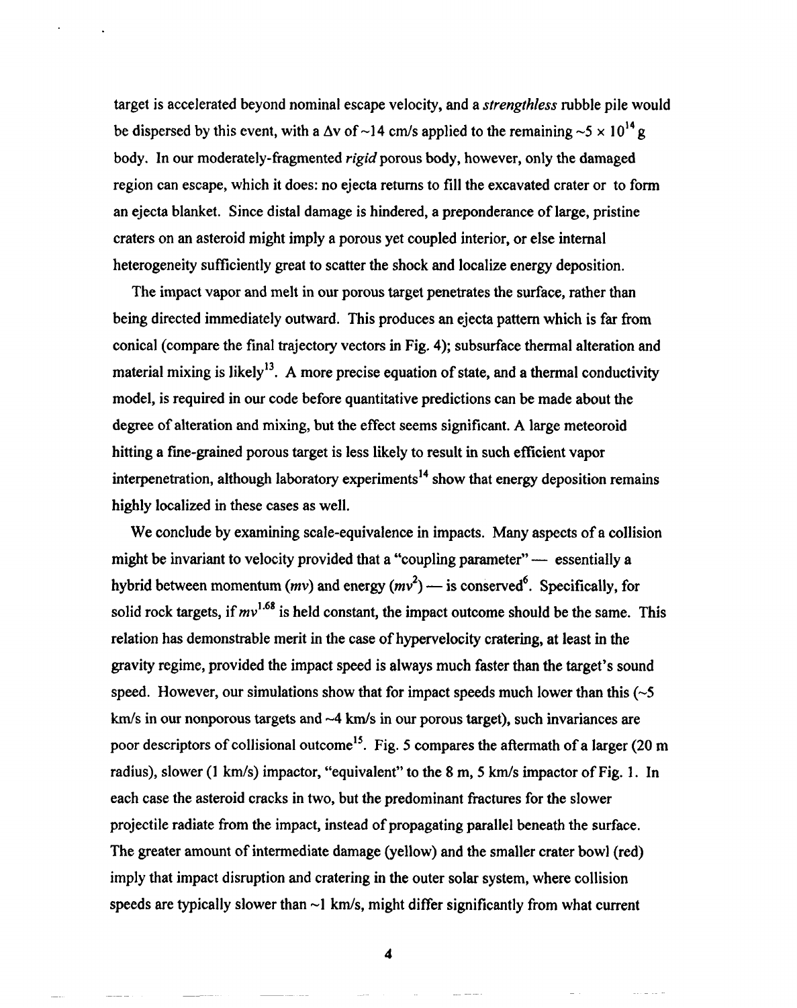target is accelerated beyond nominal escape velocity, and a *strengthless* rubble pile would be dispersed by this event, with a  $\Delta v$  of ~14 cm/s applied to the remaining ~5 x 10<sup>14</sup> g body. In our moderately-fragmented *rigid* porous body, however, only the damaged region can escape, which it does: no ejecta returns to fill the excavated crater or to form an ejecta blanket. Since distal damage is hindered, a preponderance of large, pristine craters on an asteroid might imply a porous yet coupled interior, or else internal heterogeneity sufficiently great to scatter the shock and localize energy deposition.

The impact vapor and melt in our porous target penetrates the surface, rather than being directed immediately outward. This produces an ejecta pattern which is far from conical (compare the final trajectory vectors in Fig. 4); subsurface thermal alteration and material mixing is likely<sup>13</sup>. A more precise equation of state, and a thermal conductivity model, is required in our code before quantitative predictions can be made about the degree of alteration and mixing, but the effect seems significant. A large meteoroid hitting a fine-grained porous target is less likely to result in such efficient vapor interpenetration, although laboratory experiments<sup>14</sup> show that energy deposition remains highly localized in these cases as well.

We conclude by examining scale-equivalence in impacts. Many aspects of a collision might be invariant to velocity provided that a "coupling parameter" — essentially a hybrid between momentum ( $mv$ ) and energy  $(mv^2)$  — is conserved<sup>6</sup>. Specifically, for solid rock targets, if  $mv^{1.68}$  is held constant, the impact outcome should be the same. This relation has demonstrable merit in the case of hypervelocity cratering, at least in the gravity regime, provided the impact speed is always much faster than the target's sound speed. However, our simulations show that for impact speeds much lower than this  $(\sim 5$  $km/s$  in our nonporous targets and  $-4$  km/s in our porous target), such invariances are poor descriptors of collisional outcome<sup>15</sup>. Fig. 5 compares the aftermath of a larger (20 m radius), slower (1 km/s) impactor, "equivalent" to the 8 m, 5 km/s impactor of Fig. 1. In each case the asteroid cracks in two, but the predominant fractures for the slower projectile radiate from the impact, instead of propagating parallel beneath the surface. The greater amount of intermediate damage (yellow) and the smaller crater bowl (red) imply that impact disruption and cratering in the outer solar system, where collision speeds are typically slower than  $\sim$ 1 km/s, might differ significantly from what current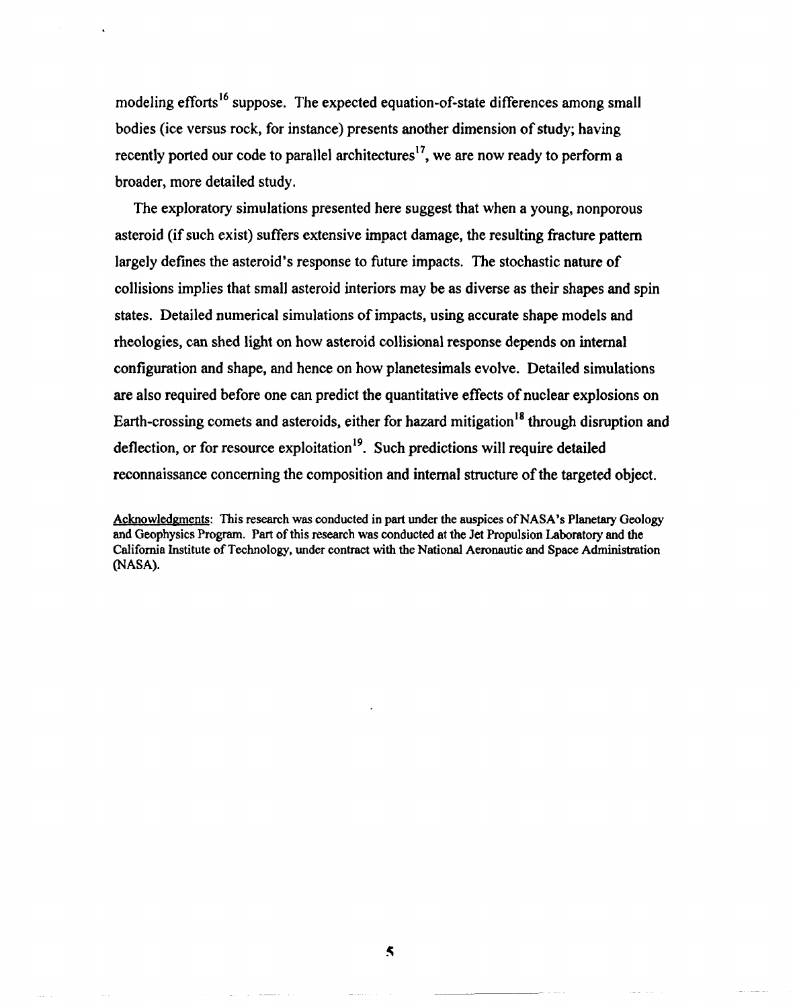modeling efforts<sup>16</sup> suppose. The expected equation-of-state differences among small bodies (ice versus rock, for instance) presents another dimension of study; having recently ported our code to parallel architectures<sup>17</sup>, we are now ready to perform a broader, more detailed study.

The exploratory simulations presented here suggest that when a young, nonporous asteroid (if such exist) suffers extensive impact damage, the resulting fracture pattern largely defines the asteroid's response to future impacts. The stochastic nature of collisions implies that small asteroid interiors may be as diverse as their shapes and spin states. Detailed numerical simulations of impacts, using accurate shape models and theologies, can shed light on how asteroid collisional response depends on internal configuration and shape, and hence on how planetesimals evolve. Detailed simulations are also required before one can predict the quantitative effects of nuclear explosions on Earth-crossing comets and asteroids, either for hazard mitigation<sup>18</sup> through disruption and deflection, or for resource exploitation<sup>19</sup>. Such predictions will require detailed reconnaissance concerning the composition and internal structure of the targeted object,

Acknowledgments: This research was conducted in part under the auspices of NASA's Planetary Geology and Geophysics Program. Part of this research was conducted at the Jet Propulsion Laboratory and the California Institute of Technology, under contract with the National Aeronautic and Space Administration (NASA).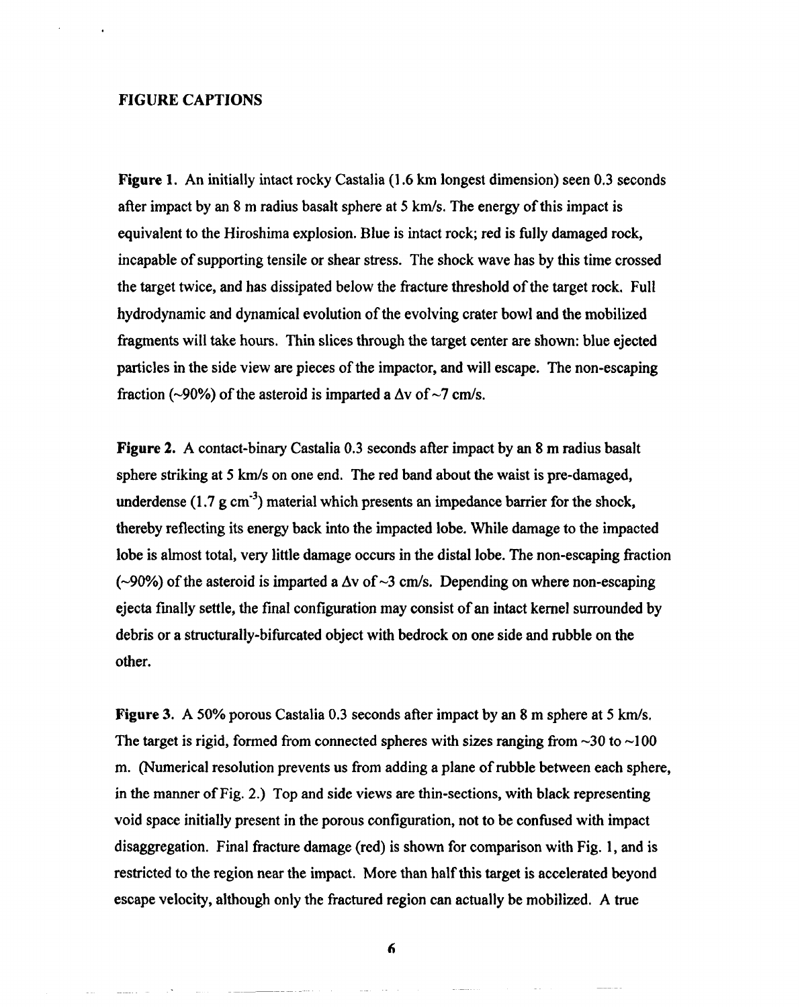## **FIGURE CAPTIONS**

**Figure 1.** An initially intact rocky Castalia (1.6 km longest dimension) seen 0.3 seconds after impact by an  $8 \text{ m}$  radius basalt sphere at  $5 \text{ km/s}$ . The energy of this impact is equivalent to the Hiroshima explosion. Blue is intact rock; red is fully damaged rock, incapable of supporting tensile or shear stress. The shock wave has by this time crossed the target twice, and has dissipated below the fracture threshold of the target rock. Full hydrodynamic and dynamical evolution of the evolving crater bowl and the mobilized ftagments will take hours. Thin slices through the target center are shown: blue ejected particles in the side view are pieces of the impactor, and will escape. The non-escaping fraction (~90%) of the asteroid is imparted a  $\Delta v$  of ~7 cm/s.

**Figure 2.** A contact-binary Castalia 0.3 seconds after impact by an 8 m radius basalt sphere striking at 5 km/s on one end. The red band about the waist is pre-damaged, underdense (1.7  $\mu$  cm<sup>-3</sup>) material which presents an impedance barrier for the shock, thereby reflecting its energy back into the impacted lobe. While damage to the impacted lobe is almost total, very little damage occurs in the distal lobe. The non-escaping fraction ( $\sim$ 90%) of the asteroid is imparted a  $\Delta v$  of  $\sim$ 3 cm/s. Depending on where non-escaping ejects finally settle, the final configuration may consist of an intact kernel surrounded by debris or a structurally-bifurcated object with bedrock on one side and rubble on the other.

**Figure** 3. A 50% porous Castalia 0.3 seconds after impact by an 8 m sphere at 5 km/s. The target is rigid, formed from connected spheres with sizes ranging from  $\sim$ 30 to  $\sim$ 100 m. (Numerical resolution prevents us from adding a plane of rubble between each sphere, in the manner of Fig. 2.) Top and side views are thin-sections, with black representing void space initially present in the porous configuration, not to be confbsed with impact disaggregation. Final fracture damage (red) is shown for comparison with Fig. 1, and is restricted to the region near the impact, More than half this target is accelerated beyond escape velocity, although only the fractured region can actually be mobilized. A true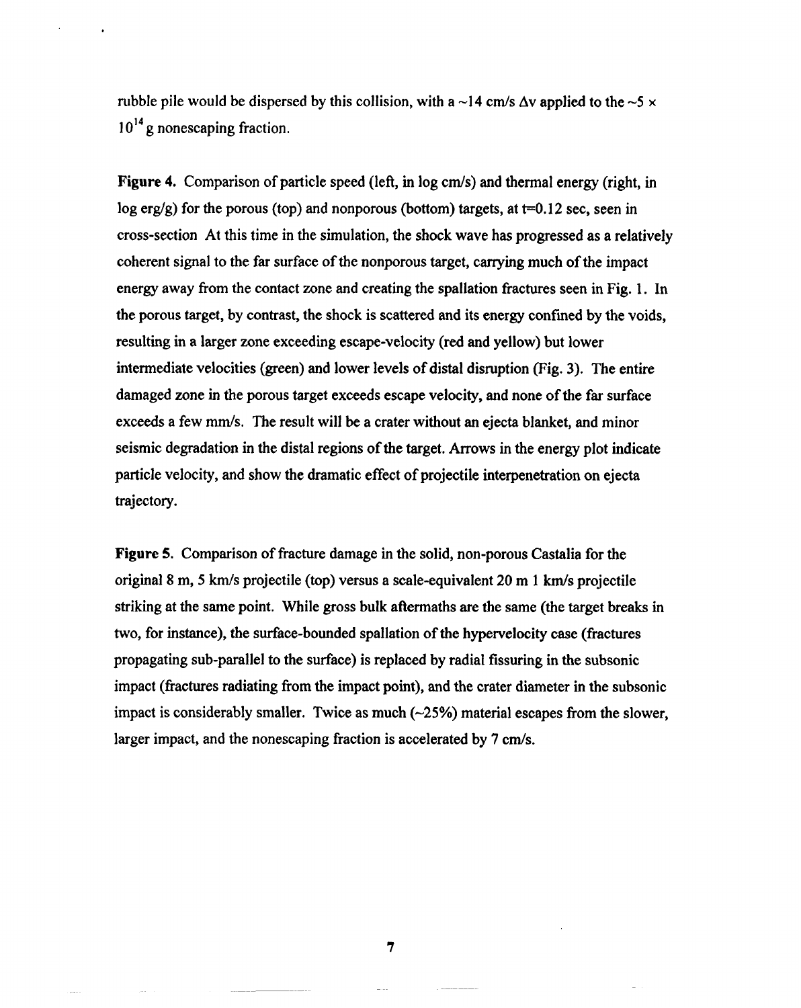rubble pile would be dispersed by this collision, with a  $\sim$ 14 cm/s  $\Delta v$  applied to the  $\sim$ 5 x  $10^{14}$  g nonescaping fraction.

**Figure 4.** Comparison of particle speed (left, in log cm/s) and thermal energy (right, in log erg/g) for the porous (top) and nonporous (bottom) targets, at  $t=0.12$  sec, seen in cross-section At this time in the simulation, the shockwave has progressed as a relatively coherent signal to the far surface of the nonporous target, carrying much of the impact energy away from the contact zone and creating the spallation fractures seen in Fig. 1. In the porous target, by contrast, the shock is scattered and its energy confined by the voids, resulting in a larger zone exceeding escape-velocity (red and yellow) but lower intermediate velocities (green) and lower levels of distal disruption (Fig. 3). The entire damaged zone in the porous target exceeds escape velocity, and none of the far surface exceeds a few mm/s. The result will be a crater without an ejecta blanket, and minor seismic degradation in the distal regions of the target, Arrows in the energy plot indicate particle velocity, and show the dramatic effect of projectile interpenetration on ejects trajectory.

**Figure** 5. Comparison of fracture damage in the solid, non-porous Castalia for the original 8 m, 5 km/s projectile (top) versus a scale-equivalent 20 m 1 km/s projectile striking at the same point, While gross bulk aftermaths are the same (the target breaks in two, for instance), the surface-bounded spallation of the hypervelocity case (fractures propagating sub-parallel to the surface) is replaced by radial fissuring in the subsonic impact (fractures radiating from the impact point), and the crater diameter in the subsonic impact is considerably smaller. Twice as much  $(-25%)$  material escapes from the slower, larger impact, and the nonescaping fraction is accelerated by 7 cm/s.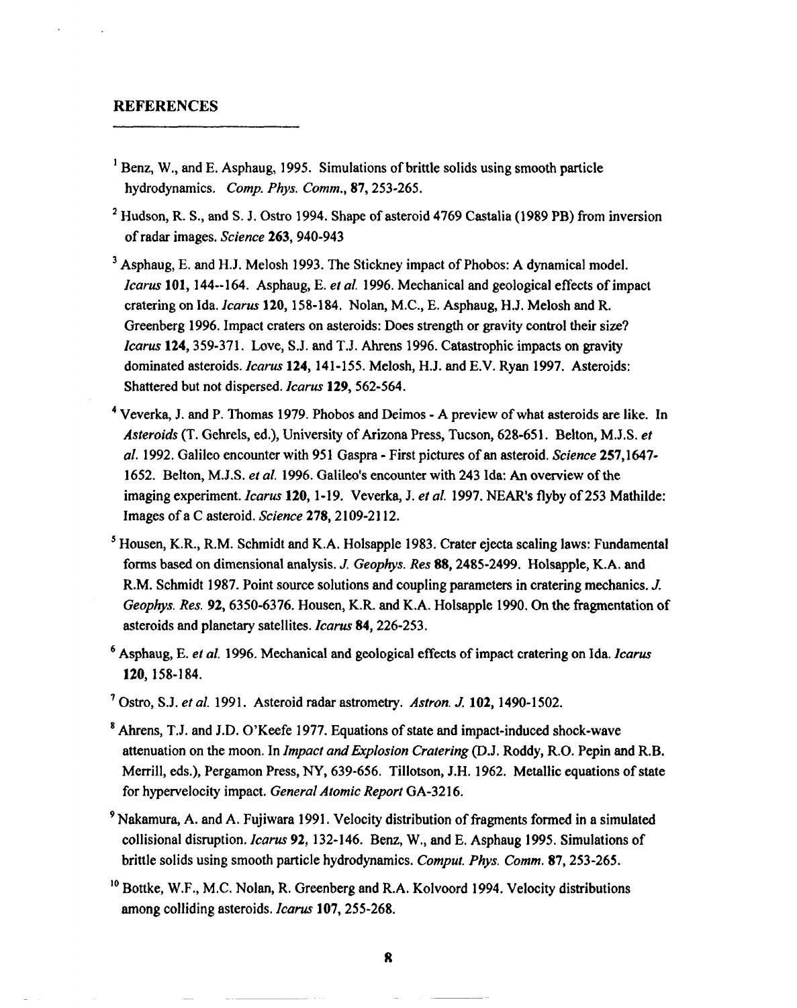## **REFERENCES**

- $\mu$ Benz, W., and E. Asphaug, 1995. Simulations of brittle solids using smooth particle hydrodynamics. *Comp. Phys, Comm., 87,253-265,*
- <sup>2</sup> Hudson, R. S., and S. J. Ostro 1994. Shape of asteroid 4769 Castalia (1989 PB) from inversion of radar images. *Science* 263, 940-943
- <sup>3</sup> Asphaug, E. and H.J. Melosh 1993. The Stickney impact of Phobos: A dynamical model. *Icarus* 101, 144--164. Asphaug, E. et al. 1996. Mechanical and geological effects of impact cratering on Ida. *Icarus* 120, 158-184. Nolan, M.C., E. Asphaug, H.J. Melosh and R. Greenberg 1996. Impact craters on asteroids: Does strength or gravity control their size? *Icarus* **124,359-371. Love,** S.1. and T,]. Ahrens 1996. Catastrophic impacts on gravity dominated asteroids. *Icarus* **124, 141-155. Melosh, H.]. and E.V. Ryan 1997. Asteroids:** Shattered but not dispersed. *Icarus* 129, 562-564.
- <sup>4</sup> Veverka, J. and P. Thomas 1979. Phobos and Deimos A preview of what asteroids are like. In Asteroids (T. Gehrels, cd.), University of Arizona Press, Tucson, 628-651. Behon, M.J,S. *et al.* 1992. Galileo encounter with 951 Gaspra - First pictures of an asteroid, Science 257,1647- 1652. Belton, M,J.S. *et al.* 1996. Galileo's encounter with 243 Ma: An overview of the imaging experiment. *Icarus* **120, 1-19. Veverkq** J. *et al.* 1997. NEAR's flyby of 253 Mathilde: Images of a C asteroid. *Science* 278,2109-2112.
- <sup>5</sup> Housen, K.R., R.M. Schmidt and K.A. Holsapple 1983. Crater ejecta scaling laws: Fundamental forms based on dimensional analysis. *J. Geophys. Res* 88,2485-2499. Holsapple, K.A. and R.M. Schmidt 1987. Point source solutions and coupling parameters in cratering mechanics. J. *Geophys. Res.* 92,6350-6376. Heusen, K.R. and K.A. Holsapple 1990. On the fragmentation of asteroids and planetary satellites. *Icarus* 84, 226-253.
- <sup>6</sup> Asphaug, E. et al. 1996. Mechanical and geological effects of impact cratering on Ida. *Icarus* **120, 158-184.**
- **' Ostro,** S.1. *et al.* 1991. Asteroid radar astrometry. *Asfron. J 102, 1490-1502.*
- *8Ahrens,* T.]. and I.D. O'Keefe 1977. Equations of state and impact-induced shock-wave attenuation on the moon. In *Impact and Erplosion Crafering* (D.]. Roddy, R.O. Pepin and R.B. Merrill, eds.), Pergamon Press, NY, 639-656. Tillotson, J.H. 1962. Metallic equations of state for hypervelocity impact. *General Atomic Report GA-3216.*
- <sup>9</sup> Nakamura, A. and A. Fujiwara 1991. Velocity distribution of fragments formed in a simulated collisional disruption. *Icarus* 92, 132-146. Benz, W., and E. Asphaug 1995. Simulations of brittle solids using smooth particle hydrodynamics. *Comput. Phys. Comm. 87,253-265.*
- <sup>10</sup> Bottke, W.F., M.C. Nolan, R. Greenberg and R.A. Kolvoord 1994. Velocity distributions among colliding asteroids. *Icarus* 107,255-268.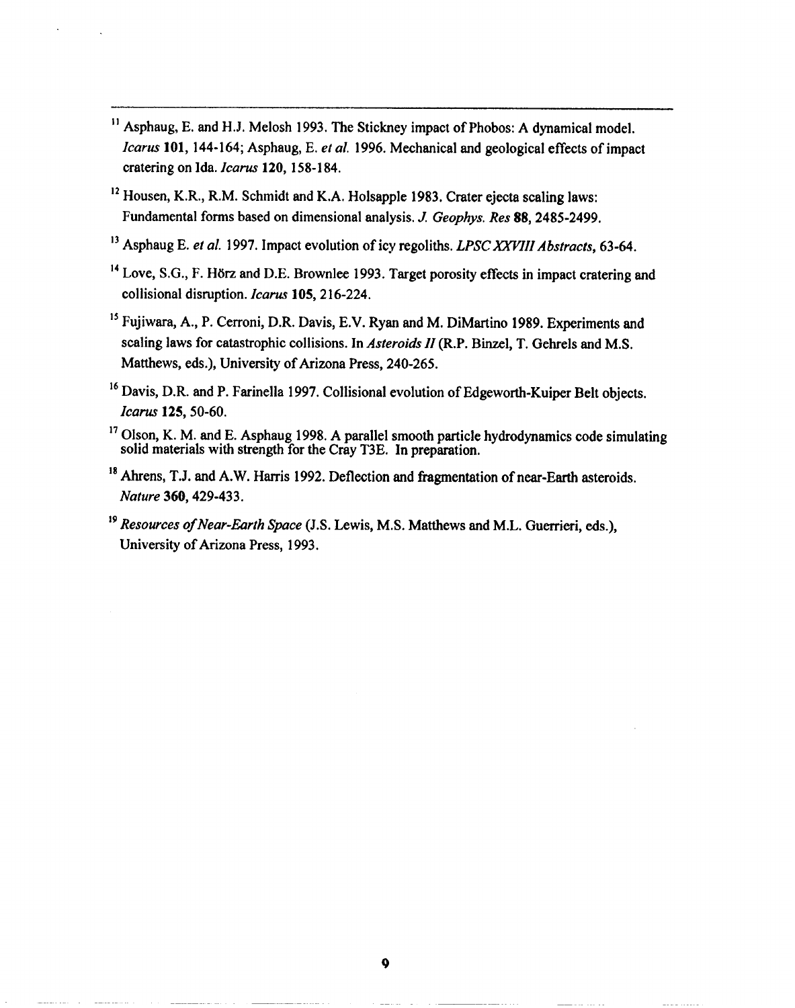- <sup>11</sup> Asphaug, E. and H.J. Melosh 1993. The Stickney impact of Phobos: A dynamical model. *Icarus* **101, 144-164; Asphaug,** E. et *al.* 1996. Mechanical and geological effects of impact cratering on Ida. *Icarus* **120, 158-184.**
- <sup>12</sup> Housen, K.R., R.M. Schmidt and K.A. Holsapple 1983. Crater ejecta scaling laws: Fundamental forms based on dimensional analysis. J. *Geophys. Res* 88,2485-2499,
- <sup>13</sup> Asphaug E. *et al.* 1997. Impact evolution of icy regoliths. *LPSC XXVIII Abstracts*, 63-64.
- <sup>14</sup> Love, S.G., F. Hörz and D.E. Brownlee 1993. Target porosity effects in impact cratering and collisional disruption. *Icarus* 105,216-224,
- <sup>15</sup> Fujiwara, A., P. Cerroni, D.R. Davis, E.V. Ryan and M. DiMartino 1989. Experiments and scaling laws for catastrophic collisions. In *Asteroids 11*(R,P. Binzel, T, Gehrels and M,S. Matthews, eds.), University of Arizona Press, 240-265.
- $16$  Davis, D.R. and P. Farinella 1997. Collisional evolution of Edgeworth-Kuiper Belt objects. *Ica~'* **125,50-60.**
- **17Olson, K. M. and E. Asphaug 1998. A parallel smooth particlehydrodynamicscode simulating solid** materials with strength for the Cray T3E. In preparation.
- <sup>18</sup> Ahrens, T.J. and A.W. Harris 1992. Deflection and fragmentation of near-Earth asteroids. *Nature 360,429-433.*
- <sup>19</sup> Resources of Near-Earth Space (J.S. Lewis, M.S. Matthews and M.L. Guerrieri, eds.), University of Arizona Press, 1993.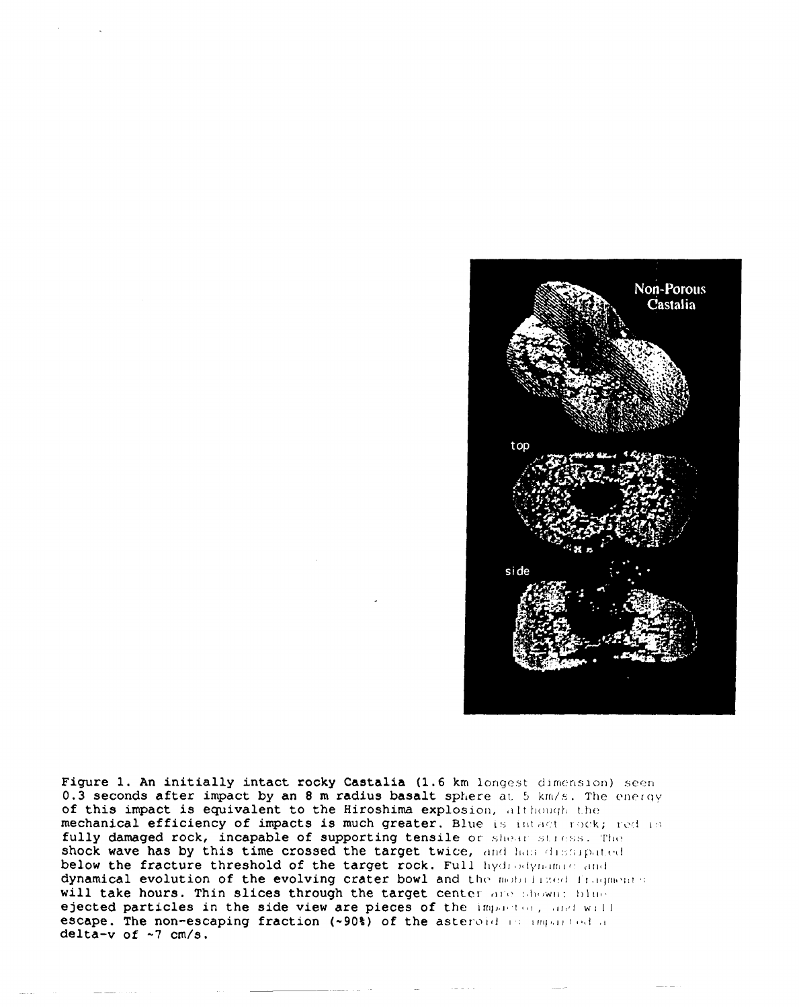

Figure 1. An initially intact rocky Castalia (1.6 km longest dimension) seen 0.3 seconds after impact by an 8 m radius basalt sphere at 5 km/s. The energy of this impact is equivalent to the Hiroshima explosion, although the mechanical efficiency of impacts is much greater. Blue is intact rock; red is fully damaged rock, incapable of supporting tensile or shear stress. The shock wave has by this time crossed the target twice, and has dissipated below the fracture threshold of the target rock. Full hydrodynamic and dynamical evolution of the evolving crater bowl and the mobilized fragments. will take hours. Thin slices through the target center are shown: blue ejected particles in the side view are pieces of the impactor, and will escape. The non-escaping fraction (~90%) of the asteroid in imparted a delta-v of  $~1$  cm/s.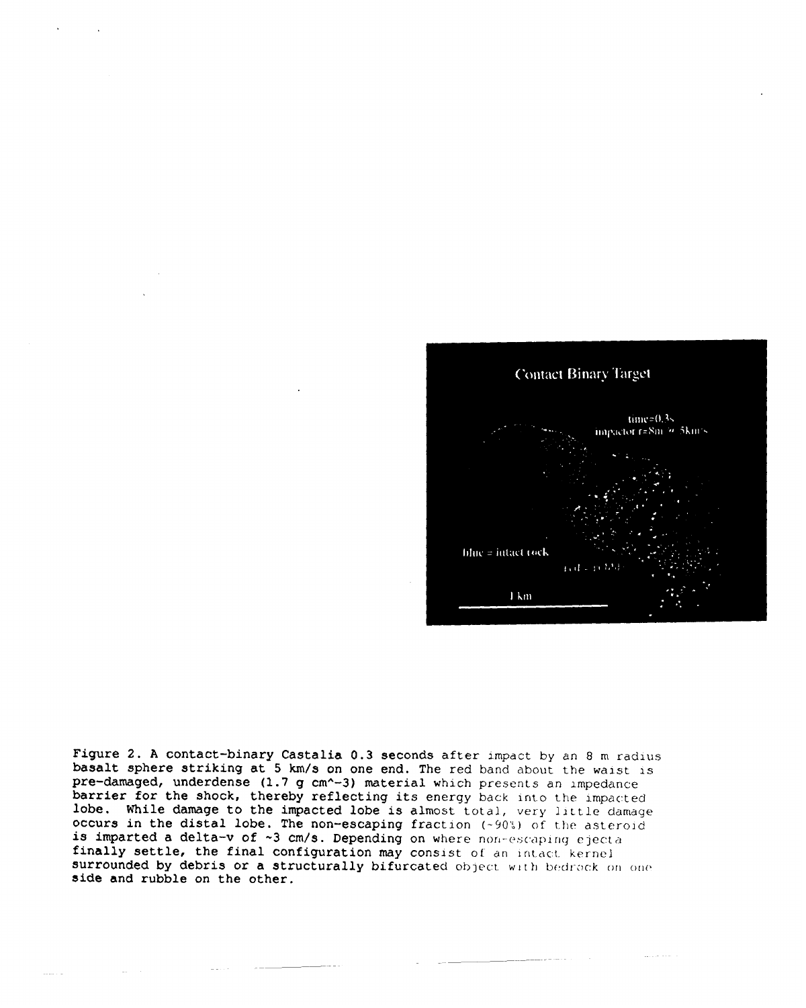

Figure 2. A contact-binary Castalia 0.3 seconds after impact by an 8 m radius basalt sphere striking at 5 km/s on one end. The red band about the waist is  $pre-damaged$ , underdense (1.7 g cm<sup>^</sup>-3) material which presents an impedance barrier for the shock, thereby reflecting its energy back into the impacted lobe. While damage to the impacted lobe is almost total, very little damage occurs in the distal lobe. The non-escaping fraction  $(-90\%)$  of the asteroid is imparted a delta-v of  $\sim 3$  cm/s. Depending on where non-escaping ejecta finally settle, the final configuration may consist of an intact kernel surrounded by debris or a structurally bifurcated object with bedrock on one side and rubble on the other.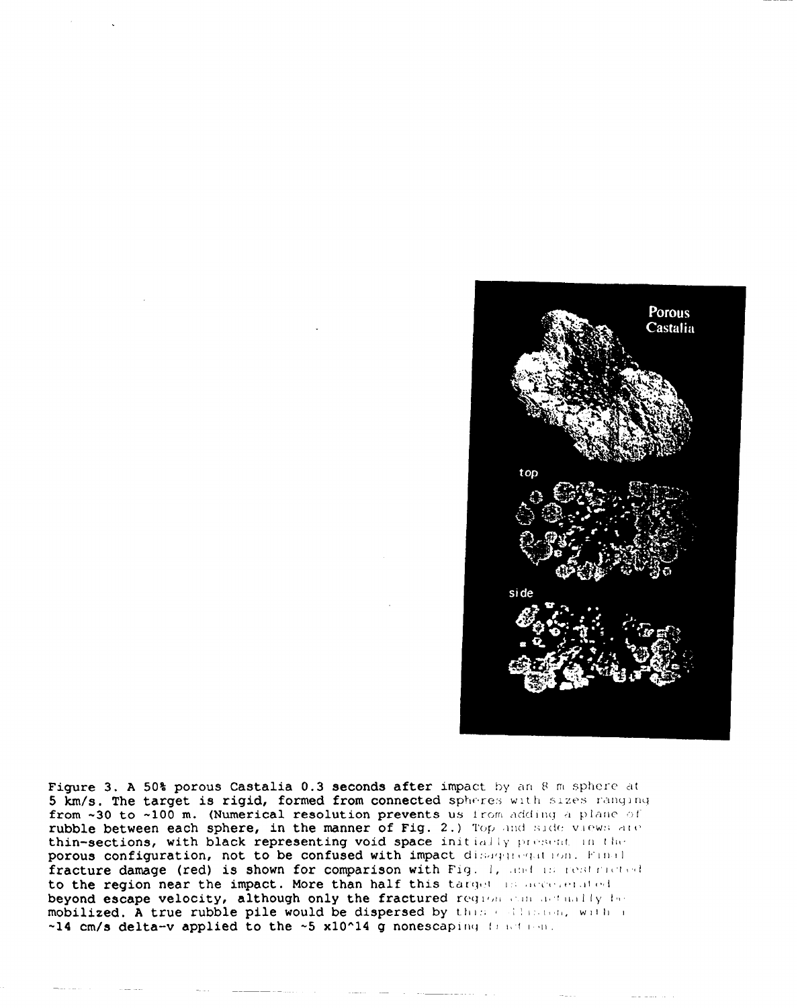

Figure 3. A 50% porous Castalia 0.3 seconds after impact by an 8 m sphere at 5 km/s. The target is rigid, formed from connected spheres with sizes ranging from  $-30$  to  $-100$  m. (Numerical resolution prevents us from adding a plane of rubble between each sphere, in the manner of Fig. 2.) Top and side views are thin-sections, with black representing void space initially present in the porous configuration, not to be confused with impact disagaregation. Final fracture damage (red) is shown for comparison with Fig. 1, and is restricted. to the region near the impact. More than half this target is accessed ted beyond escape velocity, although only the fractured requom can actually be mobilized. A true rubble pile would be dispersed by these dispersed  $\mathbf{w}(\mathbf{t})$  , with a  $-14$  cm/s delta-v applied to the  $-5$  x10 $^{\circ}14$  g nonescaping fraction.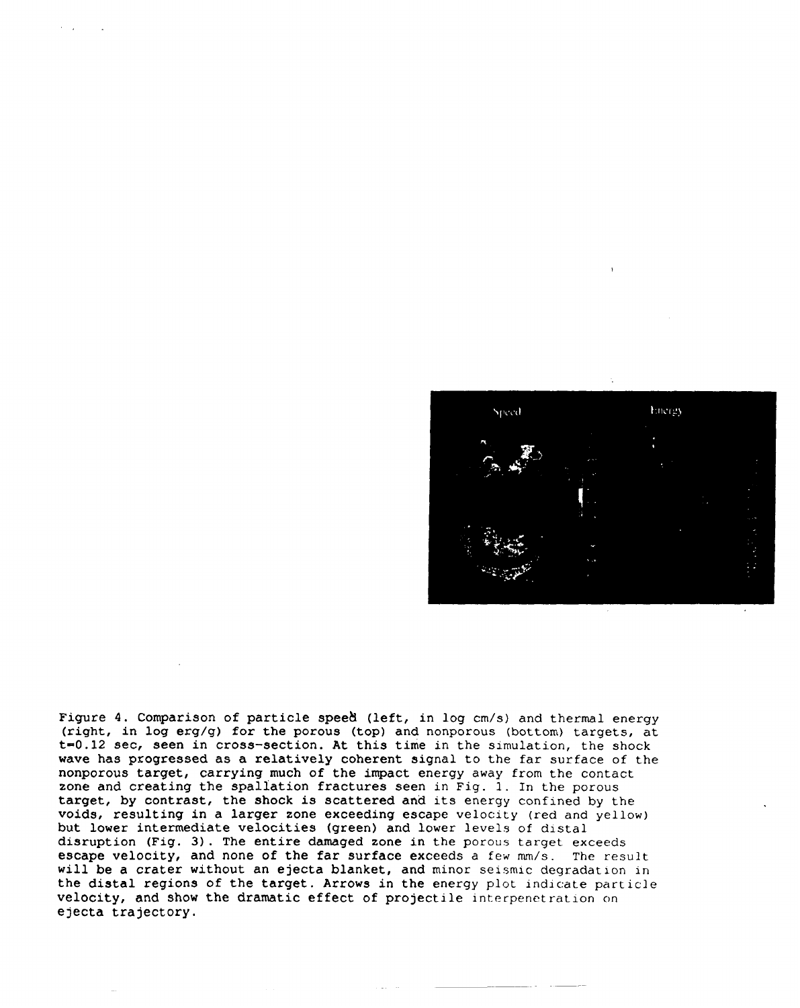**Energy** Speed

Figure 4. Comparison of particle spee& (left, in log cm/s) and thermal energy (right, in log erg/g) for the porous (top) and nonporous (bottom) targets, at  $t=0.12$  sec, seen in cross-section. At this time in the simulation, the shock wave has progressed as a relatively coherent signal to the far surface of the nonporous target, carrying much of the impact energy away from the contact zone and creating the spallation fractures seen in Fig. 1. In the porous target, by contrast, the shock is scattered and its energy confined by the voids, resulting in a larger zone exceeding escape velocity (red and yellow) but lower intermediate velocities (green) and lower levels of distal disruption (Fig. 3). The entire damaged zone in the porous target exceeds escape velocity, and none of the far surface exceeds a few mm/s. The result will be a crater without an ejecta blanket, and minor seismic degradation in the distal regions of the target. Arrows in the energy plot indicate particle velocity, and show the dramatic effect of projectile interpenetration on ejecta trajectory.